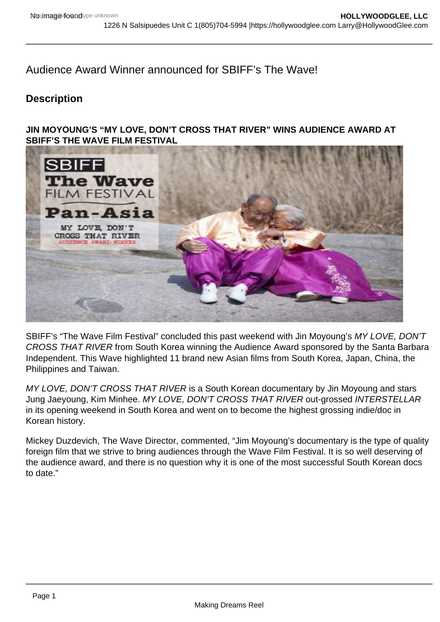Audience Award Winner announced for SBIFF's The Wave!

## **Description**

**JIN MOYOUNG'S "MY LOVE, DON'T CROSS THAT RIVER" WINS AUDIENCE AWARD AT SBIFF'S THE WAVE FILM FESTIVAL**



SBIFF's "The Wave Film Festival" concluded this past weekend with Jin Moyoung's MY LOVE, DON'T CROSS THAT RIVER from South Korea winning the Audience Award sponsored by the Santa Barbara Independent. This Wave highlighted 11 brand new Asian films from South Korea, Japan, China, the Philippines and Taiwan.

MY LOVE, DON'T CROSS THAT RIVER is a South Korean documentary by Jin Moyoung and stars Jung Jaeyoung, Kim Minhee. MY LOVE, DON'T CROSS THAT RIVER out-grossed INTERSTELLAR in its opening weekend in South Korea and went on to become the highest grossing indie/doc in Korean history.

Mickey Duzdevich, The Wave Director, commented, "Jim Moyoung's documentary is the type of quality foreign film that we strive to bring audiences through the Wave Film Festival. It is so well deserving of the audience award, and there is no question why it is one of the most successful South Korean docs to date."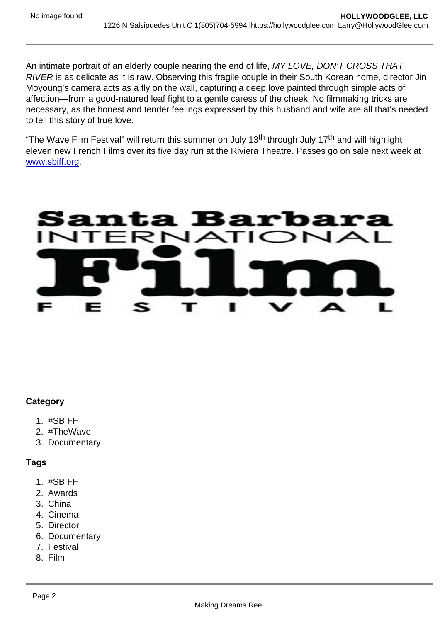An intimate portrait of an elderly couple nearing the end of life, MY LOVE, DON'T CROSS THAT RIVER is as delicate as it is raw. Observing this fragile couple in their South Korean home, director Jin Moyoung's camera acts as a fly on the wall, capturing a deep love painted through simple acts of affection—from a good-natured leaf fight to a gentle caress of the cheek. No filmmaking tricks are necessary, as the honest and tender feelings expressed by this husband and wife are all that's needed to tell this story of true love.

"The Wave Film Festival" will return this summer on July 13<sup>th</sup> through July 17<sup>th</sup> and will highlight eleven new French Films over its five day run at the Riviera Theatre. Passes go on sale next week at [www.sbiff.org](http://sbiff.us2.list-manage.com/track/click?u=0cac664aaf9e2191ccb176c63&id=c2e032d56f&e=dad442fd2a).

## **Category**

- 1. #SBIFF
- 2. #TheWave
- 3. Documentary

Tags

- 1. #SBIFF
- 2. Awards
- 3. China
- 4. Cinema
- 5. Director
- 6. Documentary
- 7. Festival
- 8. Film